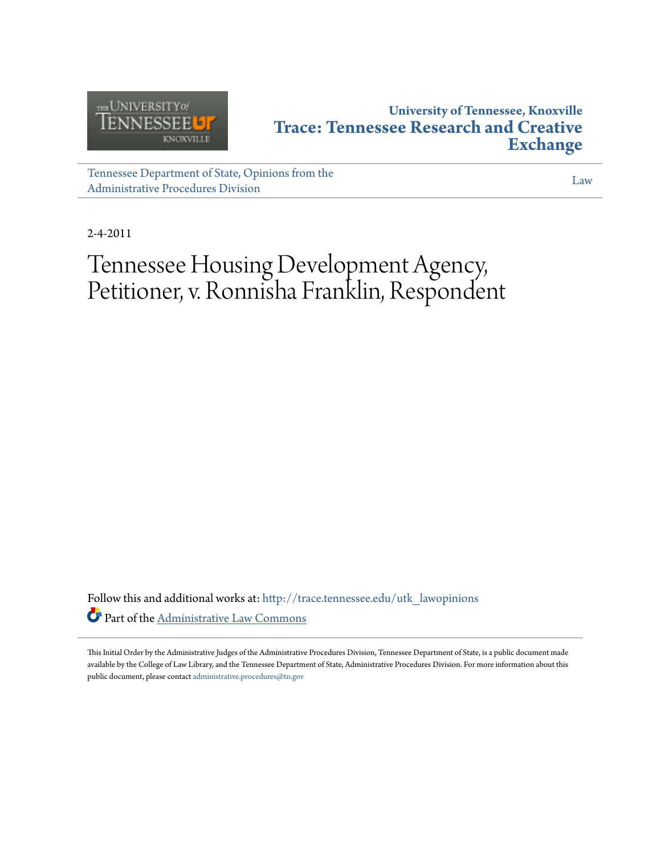

## **University of Tennessee, Knoxville [Trace: Tennessee Research and Creative](http://trace.tennessee.edu?utm_source=trace.tennessee.edu%2Futk_lawopinions%2F210&utm_medium=PDF&utm_campaign=PDFCoverPages) [Exchange](http://trace.tennessee.edu?utm_source=trace.tennessee.edu%2Futk_lawopinions%2F210&utm_medium=PDF&utm_campaign=PDFCoverPages)**

[Tennessee Department of State, Opinions from the](http://trace.tennessee.edu/utk_lawopinions?utm_source=trace.tennessee.edu%2Futk_lawopinions%2F210&utm_medium=PDF&utm_campaign=PDFCoverPages) [Administrative Procedures Division](http://trace.tennessee.edu/utk_lawopinions?utm_source=trace.tennessee.edu%2Futk_lawopinions%2F210&utm_medium=PDF&utm_campaign=PDFCoverPages)

[Law](http://trace.tennessee.edu/utk-law?utm_source=trace.tennessee.edu%2Futk_lawopinions%2F210&utm_medium=PDF&utm_campaign=PDFCoverPages)

2-4-2011

# Tennessee Housing Development Agency, Petitioner, v. Ronnisha Franklin, Respondent

Follow this and additional works at: [http://trace.tennessee.edu/utk\\_lawopinions](http://trace.tennessee.edu/utk_lawopinions?utm_source=trace.tennessee.edu%2Futk_lawopinions%2F210&utm_medium=PDF&utm_campaign=PDFCoverPages) Part of the [Administrative Law Commons](http://network.bepress.com/hgg/discipline/579?utm_source=trace.tennessee.edu%2Futk_lawopinions%2F210&utm_medium=PDF&utm_campaign=PDFCoverPages)

This Initial Order by the Administrative Judges of the Administrative Procedures Division, Tennessee Department of State, is a public document made available by the College of Law Library, and the Tennessee Department of State, Administrative Procedures Division. For more information about this public document, please contact [administrative.procedures@tn.gov](mailto:administrative.procedures@tn.gov)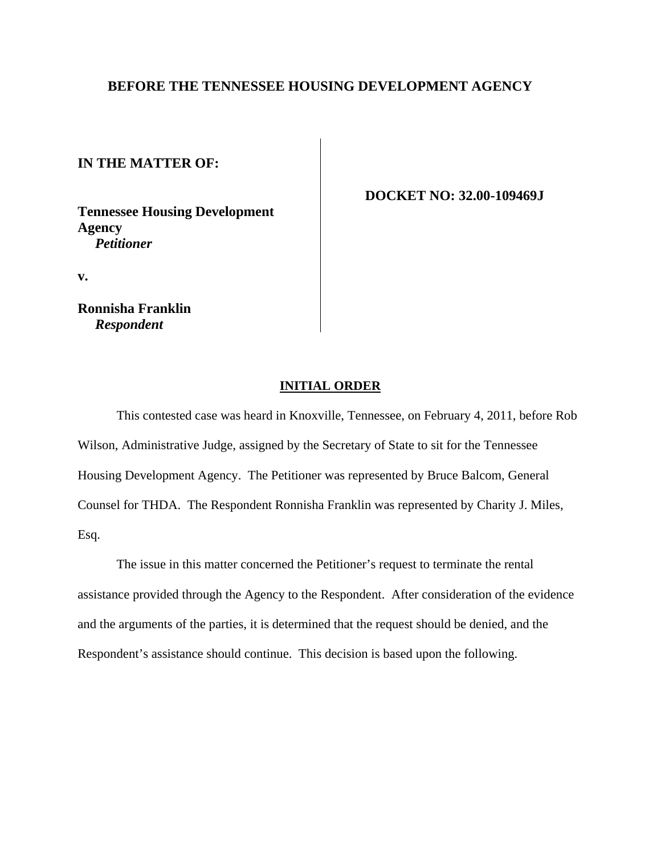### **BEFORE THE TENNESSEE HOUSING DEVELOPMENT AGENCY**

**IN THE MATTER OF:**

**Tennessee Housing Development Agency** *Petitioner*

 **DOCKET NO: 32.00-109469J**

**v.**

**Ronnisha Franklin** *Respondent*

### **INITIAL ORDER**

This contested case was heard in Knoxville, Tennessee, on February 4, 2011, before Rob Wilson, Administrative Judge, assigned by the Secretary of State to sit for the Tennessee Housing Development Agency. The Petitioner was represented by Bruce Balcom, General Counsel for THDA. The Respondent Ronnisha Franklin was represented by Charity J. Miles, Esq.

The issue in this matter concerned the Petitioner's request to terminate the rental assistance provided through the Agency to the Respondent. After consideration of the evidence and the arguments of the parties, it is determined that the request should be denied, and the Respondent's assistance should continue. This decision is based upon the following.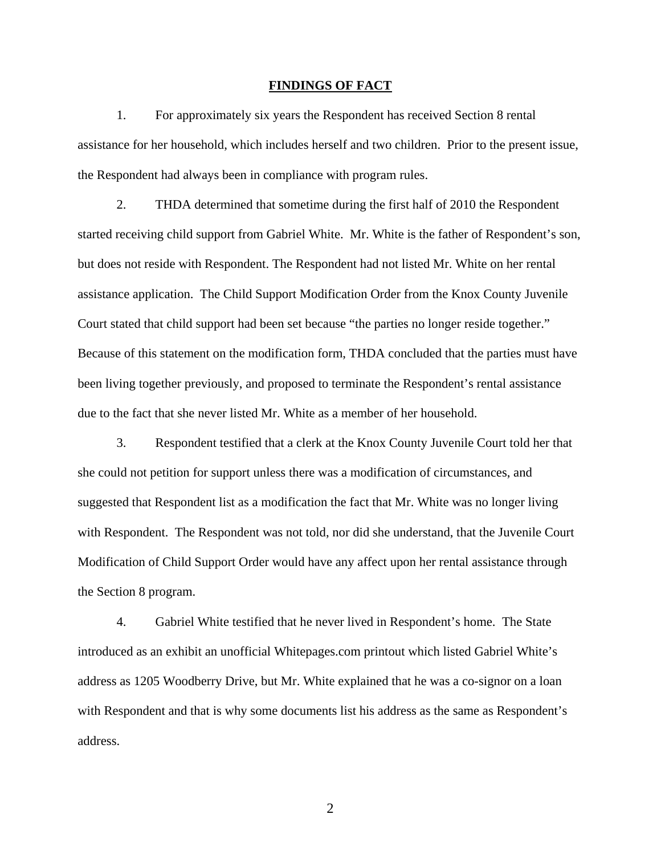#### **FINDINGS OF FACT**

 1. For approximately six years the Respondent has received Section 8 rental assistance for her household, which includes herself and two children. Prior to the present issue, the Respondent had always been in compliance with program rules.

 2. THDA determined that sometime during the first half of 2010 the Respondent started receiving child support from Gabriel White. Mr. White is the father of Respondent's son, but does not reside with Respondent. The Respondent had not listed Mr. White on her rental assistance application. The Child Support Modification Order from the Knox County Juvenile Court stated that child support had been set because "the parties no longer reside together." Because of this statement on the modification form, THDA concluded that the parties must have been living together previously, and proposed to terminate the Respondent's rental assistance due to the fact that she never listed Mr. White as a member of her household.

 3. Respondent testified that a clerk at the Knox County Juvenile Court told her that she could not petition for support unless there was a modification of circumstances, and suggested that Respondent list as a modification the fact that Mr. White was no longer living with Respondent. The Respondent was not told, nor did she understand, that the Juvenile Court Modification of Child Support Order would have any affect upon her rental assistance through the Section 8 program.

 4. Gabriel White testified that he never lived in Respondent's home. The State introduced as an exhibit an unofficial Whitepages.com printout which listed Gabriel White's address as 1205 Woodberry Drive, but Mr. White explained that he was a co-signor on a loan with Respondent and that is why some documents list his address as the same as Respondent's address.

2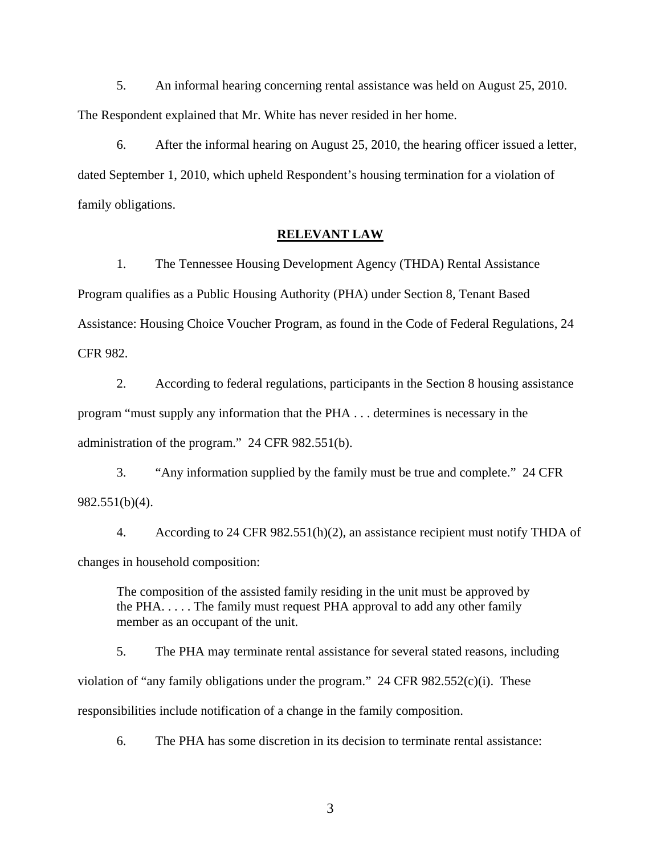5. An informal hearing concerning rental assistance was held on August 25, 2010. The Respondent explained that Mr. White has never resided in her home.

 6. After the informal hearing on August 25, 2010, the hearing officer issued a letter, dated September 1, 2010, which upheld Respondent's housing termination for a violation of family obligations.

#### **RELEVANT LAW**

 1. The Tennessee Housing Development Agency (THDA) Rental Assistance Program qualifies as a Public Housing Authority (PHA) under Section 8, Tenant Based Assistance: Housing Choice Voucher Program, as found in the Code of Federal Regulations, 24 CFR 982.

 2. According to federal regulations, participants in the Section 8 housing assistance program "must supply any information that the PHA . . . determines is necessary in the administration of the program." 24 CFR 982.551(b).

 3. "Any information supplied by the family must be true and complete." 24 CFR 982.551(b)(4).

 4. According to 24 CFR 982.551(h)(2), an assistance recipient must notify THDA of changes in household composition:

The composition of the assisted family residing in the unit must be approved by the PHA. . . . . The family must request PHA approval to add any other family member as an occupant of the unit.

 5. The PHA may terminate rental assistance for several stated reasons, including violation of "any family obligations under the program." 24 CFR  $982.552(c)(i)$ . These responsibilities include notification of a change in the family composition.

6. The PHA has some discretion in its decision to terminate rental assistance:

3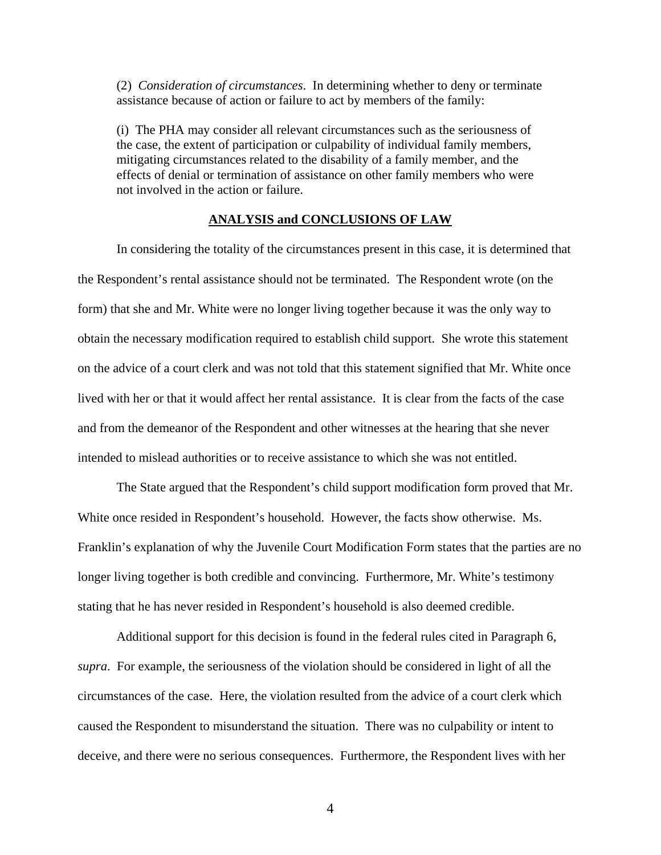(2) *Consideration of circumstances*. In determining whether to deny or terminate assistance because of action or failure to act by members of the family:

(i) The PHA may consider all relevant circumstances such as the seriousness of the case, the extent of participation or culpability of individual family members, mitigating circumstances related to the disability of a family member, and the effects of denial or termination of assistance on other family members who were not involved in the action or failure.

#### **ANALYSIS and CONCLUSIONS OF LAW**

In considering the totality of the circumstances present in this case, it is determined that the Respondent's rental assistance should not be terminated. The Respondent wrote (on the form) that she and Mr. White were no longer living together because it was the only way to obtain the necessary modification required to establish child support. She wrote this statement on the advice of a court clerk and was not told that this statement signified that Mr. White once lived with her or that it would affect her rental assistance. It is clear from the facts of the case and from the demeanor of the Respondent and other witnesses at the hearing that she never intended to mislead authorities or to receive assistance to which she was not entitled.

 The State argued that the Respondent's child support modification form proved that Mr. White once resided in Respondent's household. However, the facts show otherwise. Ms. Franklin's explanation of why the Juvenile Court Modification Form states that the parties are no longer living together is both credible and convincing. Furthermore, Mr. White's testimony stating that he has never resided in Respondent's household is also deemed credible.

 Additional support for this decision is found in the federal rules cited in Paragraph 6, *supra*. For example, the seriousness of the violation should be considered in light of all the circumstances of the case. Here, the violation resulted from the advice of a court clerk which caused the Respondent to misunderstand the situation. There was no culpability or intent to deceive, and there were no serious consequences. Furthermore, the Respondent lives with her

4